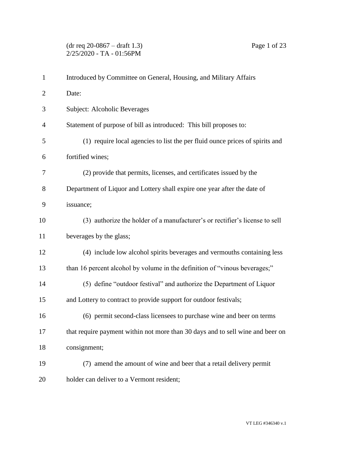| $\mathbf{1}$   | Introduced by Committee on General, Housing, and Military Affairs              |
|----------------|--------------------------------------------------------------------------------|
| $\overline{2}$ | Date:                                                                          |
| 3              | Subject: Alcoholic Beverages                                                   |
| $\overline{4}$ | Statement of purpose of bill as introduced: This bill proposes to:             |
| 5              | (1) require local agencies to list the per fluid ounce prices of spirits and   |
| 6              | fortified wines;                                                               |
| 7              | (2) provide that permits, licenses, and certificates issued by the             |
| 8              | Department of Liquor and Lottery shall expire one year after the date of       |
| 9              | issuance;                                                                      |
| 10             | (3) authorize the holder of a manufacturer's or rectifier's license to sell    |
| 11             | beverages by the glass;                                                        |
| 12             | (4) include low alcohol spirits beverages and vermouths containing less        |
| 13             | than 16 percent alcohol by volume in the definition of "vinous beverages;"     |
| 14             | (5) define "outdoor festival" and authorize the Department of Liquor           |
| 15             | and Lottery to contract to provide support for outdoor festivals;              |
| 16             | (6) permit second-class licensees to purchase wine and beer on terms           |
| 17             | that require payment within not more than 30 days and to sell wine and beer on |
| 18             | consignment;                                                                   |
| 19             | (7) amend the amount of wine and beer that a retail delivery permit            |
| 20             | holder can deliver to a Vermont resident;                                      |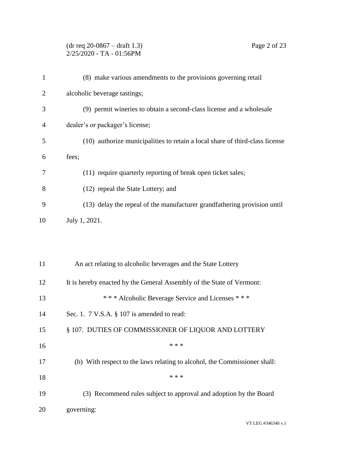## (dr req 20-0867 – draft 1.3) Page 2 of 23  $2/25/2020$  - TA - 01:56PM

| $\mathbf{1}$ | (8) make various amendments to the provisions governing retail               |
|--------------|------------------------------------------------------------------------------|
| 2            | alcoholic beverage tastings;                                                 |
| 3            | (9) permit wineries to obtain a second-class license and a wholesale         |
| 4            | dealer's or packager's license;                                              |
| 5            | (10) authorize municipalities to retain a local share of third-class license |
| 6            | fees;                                                                        |
| 7            | (11) require quarterly reporting of break open ticket sales;                 |
| 8            | (12) repeal the State Lottery; and                                           |
| 9            | (13) delay the repeal of the manufacturer grandfathering provision until     |
| 10           | July 1, 2021.                                                                |
|              |                                                                              |
|              |                                                                              |
| 11           | An act relating to alcoholic beverages and the State Lottery                 |
| 12           | It is hereby enacted by the General Assembly of the State of Vermont:        |
| 13           | *** Alcoholic Beverage Service and Licenses ***                              |

- Sec. 1. 7 V.S.A. § 107 is amended to read:
- 15 § 107. DUTIES OF COMMISSIONER OF LIQUOR AND LOTTERY
- \*\*\*
- (b) With respect to the laws relating to alcohol, the Commissioner shall:
- \*\*\* (3) Recommend rules subject to approval and adoption by the Board governing: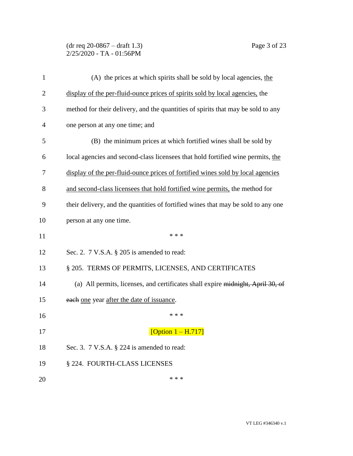### (dr req 20-0867 – draft 1.3) Page 3 of 23 2/25/2020 - TA - 01:56PM

| $\mathbf{1}$ | (A) the prices at which spirits shall be sold by local agencies, the              |
|--------------|-----------------------------------------------------------------------------------|
| 2            | display of the per-fluid-ounce prices of spirits sold by local agencies, the      |
| 3            | method for their delivery, and the quantities of spirits that may be sold to any  |
| 4            | one person at any one time; and                                                   |
| 5            | (B) the minimum prices at which fortified wines shall be sold by                  |
| 6            | local agencies and second-class licensees that hold fortified wine permits, the   |
| 7            | display of the per-fluid-ounce prices of fortified wines sold by local agencies   |
| 8            | and second-class licensees that hold fortified wine permits, the method for       |
| 9            | their delivery, and the quantities of fortified wines that may be sold to any one |
| 10           | person at any one time.                                                           |
| 11           | * * *                                                                             |
| 12           | Sec. 2. $7$ V.S.A. $\S$ 205 is amended to read:                                   |
| 13           | § 205. TERMS OF PERMITS, LICENSES, AND CERTIFICATES                               |
| 14           | (a) All permits, licenses, and certificates shall expire midnight, April 30, of   |
| 15           | each one year after the date of issuance.                                         |
| 16           | * * *                                                                             |
| 17           | [Option $1 - H.717$ ]                                                             |
| 18           | Sec. 3. $7$ V.S.A. $\S$ 224 is amended to read:                                   |
|              |                                                                                   |
| 19           | § 224. FOURTH-CLASS LICENSES                                                      |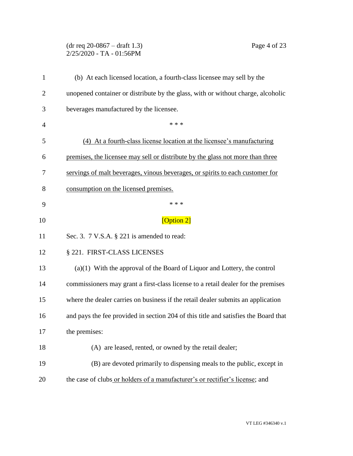# (dr req 20-0867 – draft 1.3) Page 4 of 23 2/25/2020 - TA - 01:56PM

| $\mathbf{1}$   | (b) At each licensed location, a fourth-class licensee may sell by the              |
|----------------|-------------------------------------------------------------------------------------|
| $\overline{2}$ | unopened container or distribute by the glass, with or without charge, alcoholic    |
| 3              | beverages manufactured by the licensee.                                             |
| $\overline{4}$ | * * *                                                                               |
| 5              | (4) At a fourth-class license location at the licensee's manufacturing              |
| 6              | premises, the licensee may sell or distribute by the glass not more than three      |
| 7              | servings of malt beverages, vinous beverages, or spirits to each customer for       |
| 8              | consumption on the licensed premises.                                               |
| 9              | * * *                                                                               |
| 10             | [Option 2]                                                                          |
| 11             | Sec. 3. $7$ V.S.A. $\S$ 221 is amended to read:                                     |
| 12             | § 221. FIRST-CLASS LICENSES                                                         |
| 13             | $(a)(1)$ With the approval of the Board of Liquor and Lottery, the control          |
| 14             | commissioners may grant a first-class license to a retail dealer for the premises   |
| 15             | where the dealer carries on business if the retail dealer submits an application    |
| 16             | and pays the fee provided in section 204 of this title and satisfies the Board that |
| 17             | the premises:                                                                       |
| 18             | (A) are leased, rented, or owned by the retail dealer;                              |
| 19             | (B) are devoted primarily to dispensing meals to the public, except in              |
| 20             | the case of clubs or holders of a manufacturer's or rectifier's license; and        |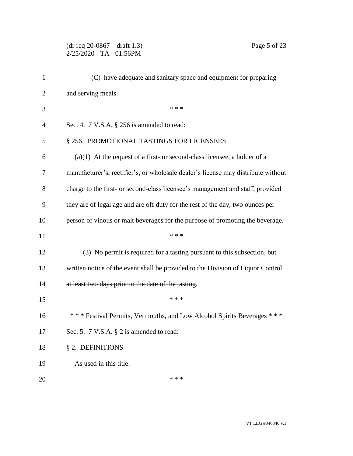# (dr req 20-0867 – draft 1.3) Page 5 of 23 2/25/2020 - TA - 01:56PM

| $\mathbf{1}$   | (C) have adequate and sanitary space and equipment for preparing                  |
|----------------|-----------------------------------------------------------------------------------|
| $\overline{2}$ | and serving meals.                                                                |
| 3              | * * *                                                                             |
| 4              | Sec. 4. $7$ V.S.A. $\S$ 256 is amended to read:                                   |
| 5              | § 256. PROMOTIONAL TASTINGS FOR LICENSEES                                         |
| 6              | $(a)(1)$ At the request of a first- or second-class licensee, a holder of a       |
| 7              | manufacturer's, rectifier's, or wholesale dealer's license may distribute without |
| 8              | charge to the first- or second-class licensee's management and staff, provided    |
| 9              | they are of legal age and are off duty for the rest of the day, two ounces per    |
| 10             | person of vinous or malt beverages for the purpose of promoting the beverage.     |
| 11             | * * *                                                                             |
| 12             | (3) No permit is required for a tasting pursuant to this subsection, but          |
| 13             | written notice of the event shall be provided to the Division of Liquor Control   |
| 14             | at least two days prior to the date of the tasting.                               |
| 15             | * * *                                                                             |
| 16             | *** Festival Permits, Vermouths, and Low Alcohol Spirits Beverages ***            |
| 17             | Sec. 5. $7 \text{ V.S.A. } § 2$ is amended to read:                               |
| 18             | § 2. DEFINITIONS                                                                  |
| 19             | As used in this title:                                                            |
| 20             | * * *                                                                             |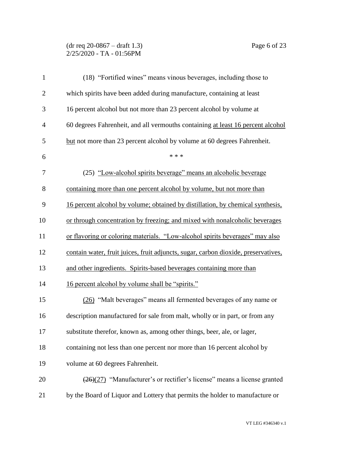#### (dr req 20-0867 – draft 1.3) Page 6 of 23 2/25/2020 - TA - 01:56PM

| $\mathbf{1}$   | (18) "Fortified wines" means vinous beverages, including those to                            |
|----------------|----------------------------------------------------------------------------------------------|
| $\overline{2}$ | which spirits have been added during manufacture, containing at least                        |
| 3              | 16 percent alcohol but not more than 23 percent alcohol by volume at                         |
| $\overline{4}$ | 60 degrees Fahrenheit, and all vermouths containing at least 16 percent alcohol              |
| 5              | but not more than 23 percent alcohol by volume at 60 degrees Fahrenheit.                     |
| 6              | * * *                                                                                        |
| 7              | (25) "Low-alcohol spirits beverage" means an alcoholic beverage                              |
| 8              | containing more than one percent alcohol by volume, but not more than                        |
| 9              | 16 percent alcohol by volume; obtained by distillation, by chemical synthesis,               |
| 10             | or through concentration by freezing; and mixed with nonalcoholic beverages                  |
| 11             | or flavoring or coloring materials. "Low-alcohol spirits beverages" may also                 |
| 12             | contain water, fruit juices, fruit adjuncts, sugar, carbon dioxide, preservatives,           |
| 13             | and other ingredients. Spirits-based beverages containing more than                          |
| 14             | 16 percent alcohol by volume shall be "spirits."                                             |
| 15             | (26) "Malt beverages" means all fermented beverages of any name or                           |
| 16             | description manufactured for sale from malt, wholly or in part, or from any                  |
| 17             | substitute therefor, known as, among other things, beer, ale, or lager,                      |
| 18             | containing not less than one percent nor more than 16 percent alcohol by                     |
| 19             | volume at 60 degrees Fahrenheit.                                                             |
| 20             | $\left(\frac{26}{27}\right)$ "Manufacturer's or rectifier's license" means a license granted |
| 21             | by the Board of Liquor and Lottery that permits the holder to manufacture or                 |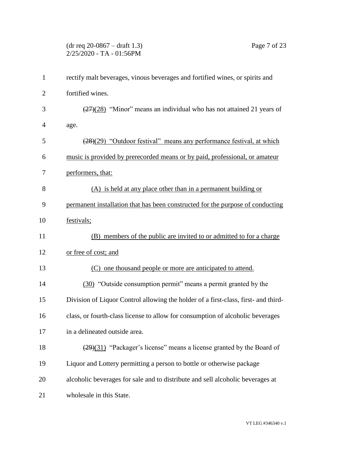# (dr req 20-0867 – draft 1.3) Page 7 of 23 2/25/2020 - TA - 01:56PM

| $\mathbf{1}$   | rectify malt beverages, vinous beverages and fortified wines, or spirits and              |
|----------------|-------------------------------------------------------------------------------------------|
| $\overline{2}$ | fortified wines.                                                                          |
| 3              | $\left(\frac{27}{28}\right)$ "Minor" means an individual who has not attained 21 years of |
| 4              | age.                                                                                      |
| 5              | (28)(29) "Outdoor festival" means any performance festival, at which                      |
| 6              | music is provided by prerecorded means or by paid, professional, or amateur               |
| 7              | performers, that:                                                                         |
| 8              | (A) is held at any place other than in a permanent building or                            |
| 9              | permanent installation that has been constructed for the purpose of conducting            |
| 10             | festivals;                                                                                |
| 11             | (B) members of the public are invited to or admitted to for a charge                      |
| 12             | or free of cost; and                                                                      |
| 13             | (C) one thousand people or more are anticipated to attend.                                |
| 14             | (30) "Outside consumption permit" means a permit granted by the                           |
| 15             | Division of Liquor Control allowing the holder of a first-class, first- and third-        |
| 16             | class, or fourth-class license to allow for consumption of alcoholic beverages            |
| 17             | in a delineated outside area                                                              |
| 18             | $(29)(31)$ "Packager's license" means a license granted by the Board of                   |
| 19             | Liquor and Lottery permitting a person to bottle or otherwise package                     |
| 20             | alcoholic beverages for sale and to distribute and sell alcoholic beverages at            |
| 21             | wholesale in this State.                                                                  |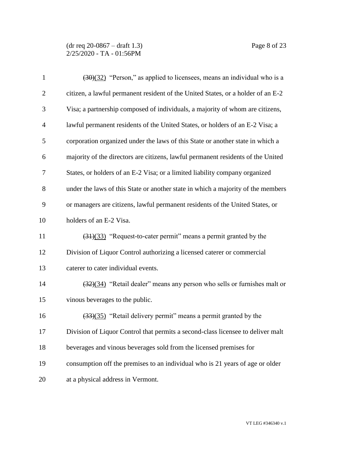(dr req 20-0867 – draft 1.3) Page 8 of 23 2/25/2020 - TA - 01:56PM

| $\mathbf{1}$   | $\left(\frac{30}{32}\right)$ "Person," as applied to licensees, means an individual who is a |
|----------------|----------------------------------------------------------------------------------------------|
| $\overline{2}$ | citizen, a lawful permanent resident of the United States, or a holder of an E-2             |
| 3              | Visa; a partnership composed of individuals, a majority of whom are citizens,                |
| $\overline{4}$ | lawful permanent residents of the United States, or holders of an E-2 Visa; a                |
| 5              | corporation organized under the laws of this State or another state in which a               |
| 6              | majority of the directors are citizens, lawful permanent residents of the United             |
| 7              | States, or holders of an E-2 Visa; or a limited liability company organized                  |
| 8              | under the laws of this State or another state in which a majority of the members             |
| 9              | or managers are citizens, lawful permanent residents of the United States, or                |
| 10             | holders of an E-2 Visa.                                                                      |
| 11             | $\left(\frac{31}{33}\right)$ "Request-to-cater permit" means a permit granted by the         |
| 12             | Division of Liquor Control authorizing a licensed caterer or commercial                      |
| 13             | caterer to cater individual events.                                                          |
| 14             | $\left(\frac{32}{34}\right)$ "Retail dealer" means any person who sells or furnishes malt or |
| 15             | vinous beverages to the public.                                                              |
| 16             | (33)(35) "Retail delivery permit" means a permit granted by the                              |
| 17             | Division of Liquor Control that permits a second-class licensee to deliver malt              |
| 18             | beverages and vinous beverages sold from the licensed premises for                           |
| 19             | consumption off the premises to an individual who is 21 years of age or older                |
| 20             | at a physical address in Vermont.                                                            |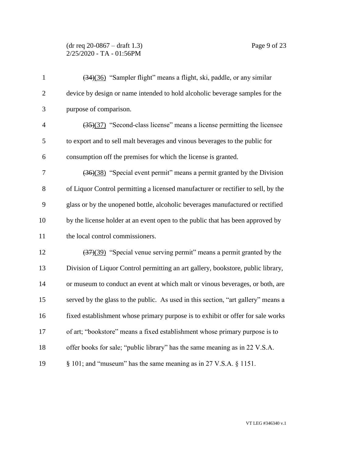#### (dr req 20-0867 – draft 1.3) Page 9 of 23 2/25/2020 - TA - 01:56PM

| $\mathbf{1}$   | (34)(36) "Sampler flight" means a flight, ski, paddle, or any similar                       |
|----------------|---------------------------------------------------------------------------------------------|
| $\overline{2}$ | device by design or name intended to hold alcoholic beverage samples for the                |
| 3              | purpose of comparison.                                                                      |
| $\overline{4}$ | $\left(\frac{35}{37}\right)$ "Second-class license" means a license permitting the licensee |
| 5              | to export and to sell malt beverages and vinous beverages to the public for                 |
| 6              | consumption off the premises for which the license is granted.                              |
| 7              | (36)(38) "Special event permit" means a permit granted by the Division                      |
| 8              | of Liquor Control permitting a licensed manufacturer or rectifier to sell, by the           |
| 9              | glass or by the unopened bottle, alcoholic beverages manufactured or rectified              |
| 10             | by the license holder at an event open to the public that has been approved by              |
| 11             | the local control commissioners.                                                            |
| 12             | (37)(39) "Special venue serving permit" means a permit granted by the                       |
| 13             | Division of Liquor Control permitting an art gallery, bookstore, public library,            |
| 14             | or museum to conduct an event at which malt or vinous beverages, or both, are               |
| 15             | served by the glass to the public. As used in this section, "art gallery" means a           |
| 16             | fixed establishment whose primary purpose is to exhibit or offer for sale works             |
| 17             | of art; "bookstore" means a fixed establishment whose primary purpose is to                 |
| 18             | offer books for sale; "public library" has the same meaning as in 22 V.S.A.                 |
| 19             | $\S$ 101; and "museum" has the same meaning as in 27 V.S.A. $\S$ 1151.                      |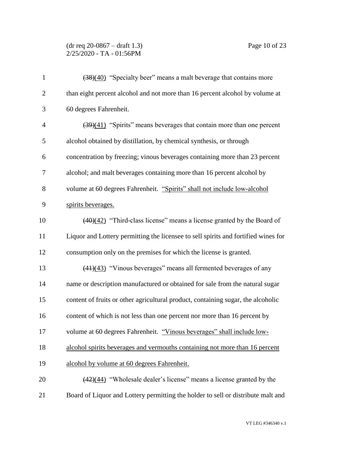#### (dr req 20-0867 – draft 1.3) Page 10 of 23 2/25/2020 - TA - 01:56PM

| $\mathbf{1}$   | (38)(40) "Specialty beer" means a malt beverage that contains more                        |
|----------------|-------------------------------------------------------------------------------------------|
| $\overline{2}$ | than eight percent alcohol and not more than 16 percent alcohol by volume at              |
| 3              | 60 degrees Fahrenheit.                                                                    |
| $\overline{4}$ | $\left(\frac{39}{41}\right)$ "Spirits" means beverages that contain more than one percent |
| 5              | alcohol obtained by distillation, by chemical synthesis, or through                       |
| 6              | concentration by freezing; vinous beverages containing more than 23 percent               |
| 7              | alcohol; and malt beverages containing more than 16 percent alcohol by                    |
| 8              | volume at 60 degrees Fahrenheit. "Spirits" shall not include low-alcohol                  |
| 9              | spirits beverages.                                                                        |
| 10             | $(40)(42)$ "Third-class license" means a license granted by the Board of                  |
| 11             | Liquor and Lottery permitting the licensee to sell spirits and fortified wines for        |
| 12             | consumption only on the premises for which the license is granted.                        |
| 13             | $(41)(43)$ "Vinous beverages" means all fermented beverages of any                        |
| 14             | name or description manufactured or obtained for sale from the natural sugar              |
| 15             | content of fruits or other agricultural product, containing sugar, the alcoholic          |
| 16             | content of which is not less than one percent nor more than 16 percent by                 |
| 17             | volume at 60 degrees Fahrenheit. "Vinous beverages" shall include low-                    |
| 18             | alcohol spirits beverages and vermouths containing not more than 16 percent               |
| 19             | alcohol by volume at 60 degrees Fahrenheit.                                               |
| 20             | $\frac{(42)(44)}{42}$ "Wholesale dealer's license" means a license granted by the         |
| 21             | Board of Liquor and Lottery permitting the holder to sell or distribute malt and          |
|                |                                                                                           |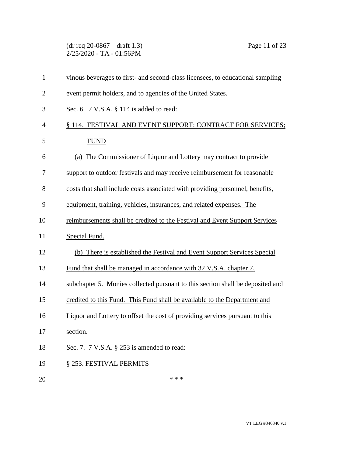(dr req 20-0867 – draft 1.3) Page 11 of 23 2/25/2020 - TA - 01:56PM

| $\mathbf{1}$   | vinous beverages to first- and second-class licensees, to educational sampling |
|----------------|--------------------------------------------------------------------------------|
| $\overline{2}$ | event permit holders, and to agencies of the United States.                    |
| 3              | Sec. 6. 7 V.S.A. § 114 is added to read:                                       |
| $\overline{4}$ | § 114. FESTIVAL AND EVENT SUPPORT; CONTRACT FOR SERVICES;                      |
| 5              | <b>FUND</b>                                                                    |
| 6              | (a) The Commissioner of Liquor and Lottery may contract to provide             |
| 7              | support to outdoor festivals and may receive reimbursement for reasonable      |
| 8              | costs that shall include costs associated with providing personnel, benefits,  |
| 9              | equipment, training, vehicles, insurances, and related expenses. The           |
| 10             | reimbursements shall be credited to the Festival and Event Support Services    |
| 11             | Special Fund.                                                                  |
| 12             | (b) There is established the Festival and Event Support Services Special       |
| 13             | Fund that shall be managed in accordance with 32 V.S.A. chapter 7,             |
| 14             | subchapter 5. Monies collected pursuant to this section shall be deposited and |
| 15             | credited to this Fund. This Fund shall be available to the Department and      |
| 16             | Liquor and Lottery to offset the cost of providing services pursuant to this   |
| 17             | section.                                                                       |
| 18             | Sec. 7. $7 \text{ V.S.A. }$ § 253 is amended to read:                          |
| 19             | § 253. FESTIVAL PERMITS                                                        |
| 20             | * * *                                                                          |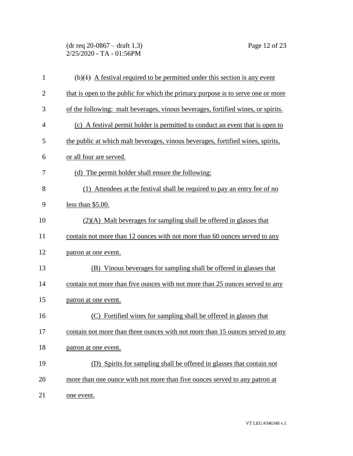### (dr req 20-0867 – draft 1.3) Page 12 of 23 2/25/2020 - TA - 01:56PM

| 1              | $(b)(1)$ A festival required to be permitted under this section is any event     |
|----------------|----------------------------------------------------------------------------------|
| $\overline{2}$ | that is open to the public for which the primary purpose is to serve one or more |
| 3              | of the following: malt beverages, vinous beverages, fortified wines, or spirits. |
| $\overline{4}$ | (c) A festival permit holder is permitted to conduct an event that is open to    |
| 5              | the public at which malt beverages, vinous beverages, fortified wines, spirits,  |
| 6              | or all four are served.                                                          |
| 7              | (d) The permit holder shall ensure the following:                                |
| 8              | (1) Attendees at the festival shall be required to pay an entry fee of no        |
| 9              | less than $$5.00$ .                                                              |
| 10             | $(2)(A)$ Malt beverages for sampling shall be offered in glasses that            |
| 11             | contain not more than 12 ounces with not more than 60 ounces served to any       |
| 12             | patron at one event.                                                             |
| 13             | (B) Vinous beverages for sampling shall be offered in glasses that               |
| 14             | contain not more than five ounces with not more than 25 ounces served to any     |
| 15             | patron at one event.                                                             |
| 16             | Fortified wines for sampling shall be offered in glasses that<br>(C)             |
| 17             | contain not more than three ounces with not more than 15 ounces served to any    |
| 18             | patron at one event.                                                             |
| 19             | (D) Spirits for sampling shall be offered in glasses that contain not            |
| 20             | more than one ounce with not more than five ounces served to any patron at       |
| 21             | one event.                                                                       |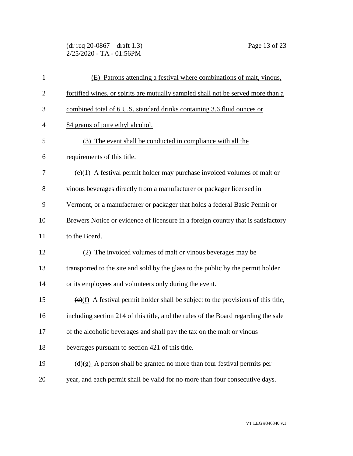### (dr req 20-0867 – draft 1.3) Page 13 of 23 2/25/2020 - TA - 01:56PM

| $\mathbf{1}$   | (E) Patrons attending a festival where combinations of malt, vinous,                                 |
|----------------|------------------------------------------------------------------------------------------------------|
| $\overline{c}$ | fortified wines, or spirits are mutually sampled shall not be served more than a                     |
| 3              | combined total of 6 U.S. standard drinks containing 3.6 fluid ounces or                              |
| $\overline{4}$ | 84 grams of pure ethyl alcohol.                                                                      |
| 5              | (3) The event shall be conducted in compliance with all the                                          |
| 6              | requirements of this title.                                                                          |
| 7              | $(e)(1)$ A festival permit holder may purchase invoiced volumes of malt or                           |
| 8              | vinous beverages directly from a manufacturer or packager licensed in                                |
| 9              | Vermont, or a manufacturer or packager that holds a federal Basic Permit or                          |
| 10             | Brewers Notice or evidence of licensure in a foreign country that is satisfactory                    |
| 11             | to the Board.                                                                                        |
| 12             | (2) The invoiced volumes of malt or vinous beverages may be                                          |
| 13             | transported to the site and sold by the glass to the public by the permit holder                     |
| 14             | or its employees and volunteers only during the event.                                               |
| 15             | $\frac{(\epsilon)(f)}{f}$ A festival permit holder shall be subject to the provisions of this title, |
| 16             | including section 214 of this title, and the rules of the Board regarding the sale                   |
| 17             | of the alcoholic beverages and shall pay the tax on the malt or vinous                               |
| 18             | beverages pursuant to section 421 of this title.                                                     |
| 19             | $\left(\frac{d}{g}\right)$ A person shall be granted no more than four festival permits per          |
| 20             | year, and each permit shall be valid for no more than four consecutive days.                         |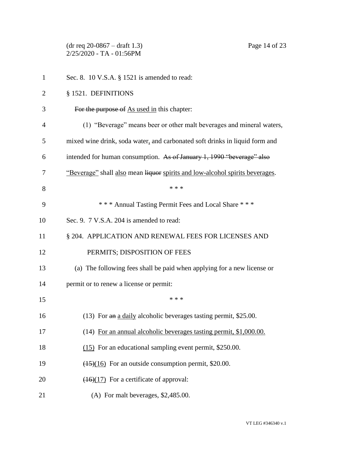(dr req 20-0867 – draft 1.3) Page 14 of 23 2/25/2020 - TA - 01:56PM

| $\mathbf{1}$   | Sec. 8. 10 V.S.A. $\S$ 1521 is amended to read:                                      |
|----------------|--------------------------------------------------------------------------------------|
| $\overline{2}$ | § 1521. DEFINITIONS                                                                  |
| 3              | For the purpose of As used in this chapter:                                          |
| 4              | (1) "Beverage" means beer or other malt beverages and mineral waters,                |
| 5              | mixed wine drink, soda water, and carbonated soft drinks in liquid form and          |
| 6              | intended for human consumption. As of January 1, 1990 "beverage" also                |
| 7              | "Beverage" shall also mean liquor spirits and low-alcohol spirits beverages.         |
| 8              | * * *                                                                                |
| 9              | *** Annual Tasting Permit Fees and Local Share ***                                   |
| 10             | Sec. 9. 7 V.S.A. 204 is amended to read:                                             |
| 11             | § 204. APPLICATION AND RENEWAL FEES FOR LICENSES AND                                 |
| 12             | PERMITS; DISPOSITION OF FEES                                                         |
| 13             | (a) The following fees shall be paid when applying for a new license or              |
| 14             | permit or to renew a license or permit:                                              |
| 15             | * * *                                                                                |
| 16             | (13) For an a daily alcoholic beverages tasting permit, \$25.00.                     |
| 17             | (14) For an annual alcoholic beverages tasting permit, \$1,000.00.                   |
| 18             | (15) For an educational sampling event permit, \$250.00.                             |
| 19             | $\left(\frac{(15)(16)}{(15)(16)}\right)$ For an outside consumption permit, \$20.00. |
| 20             | $\overline{(16)(17)}$ For a certificate of approval:                                 |
| 21             | (A) For malt beverages, \$2,485.00.                                                  |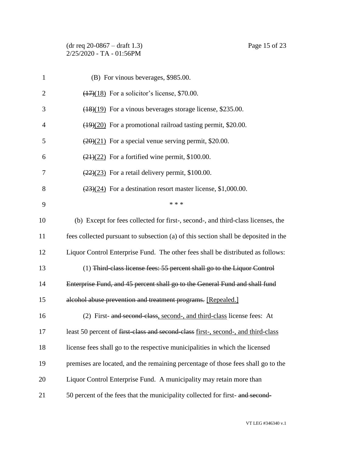# (dr req 20-0867 – draft 1.3) Page 15 of 23 2/25/2020 - TA - 01:56PM

| 1              | (B) For vinous beverages, \$985.00.                                                 |
|----------------|-------------------------------------------------------------------------------------|
| $\overline{2}$ | $\left(\frac{17}{18}\right)$ For a solicitor's license, \$70.00.                    |
| 3              | $(18)(19)$ For a vinous beverages storage license, \$235.00.                        |
| $\overline{4}$ | $(19)(20)$ For a promotional railroad tasting permit, \$20.00.                      |
| 5              | $\left(\frac{20}{21}\right)$ For a special venue serving permit, \$20.00.           |
| 6              | $\left(\frac{(21)(22)}{(21)(22)}\right)$ For a fortified wine permit, \$100.00.     |
| 7              | $\left(\frac{22}{22}\right)$ For a retail delivery permit, \$100.00.                |
| 8              | $(23)(24)$ For a destination resort master license, \$1,000.00.                     |
| 9              | * * *                                                                               |
| 10             | (b) Except for fees collected for first-, second-, and third-class licenses, the    |
| 11             | fees collected pursuant to subsection (a) of this section shall be deposited in the |
| 12             | Liquor Control Enterprise Fund. The other fees shall be distributed as follows:     |
| 13             | (1) Third-class license fees: 55 percent shall go to the Liquor Control             |
| 14             | Enterprise Fund, and 45 percent shall go to the General Fund and shall fund         |
| 15             | alcohol abuse prevention and treatment programs. [Repealed.]                        |
| 16             | (2) First- and second-class, second-, and third-class license fees: At              |
| 17             | least 50 percent of first-class and second-class first-, second-, and third-class   |
| 18             | license fees shall go to the respective municipalities in which the licensed        |
| 19             | premises are located, and the remaining percentage of those fees shall go to the    |
| 20             | Liquor Control Enterprise Fund. A municipality may retain more than                 |
| 21             | 50 percent of the fees that the municipality collected for first-and-second-        |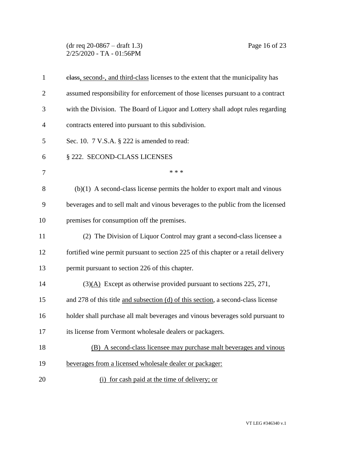(dr req 20-0867 – draft 1.3) Page 16 of 23 2/25/2020 - TA - 01:56PM

| $\mathbf{1}$   | elass, second-, and third-class licenses to the extent that the municipality has   |
|----------------|------------------------------------------------------------------------------------|
| $\overline{2}$ | assumed responsibility for enforcement of those licenses pursuant to a contract    |
| 3              | with the Division. The Board of Liquor and Lottery shall adopt rules regarding     |
| 4              | contracts entered into pursuant to this subdivision.                               |
| 5              | Sec. 10. 7 V.S.A. § 222 is amended to read:                                        |
| 6              | § 222. SECOND-CLASS LICENSES                                                       |
| 7              | * * *                                                                              |
| 8              | $(b)(1)$ A second-class license permits the holder to export malt and vinous       |
| 9              | beverages and to sell malt and vinous beverages to the public from the licensed    |
| 10             | premises for consumption off the premises.                                         |
| 11             | (2) The Division of Liquor Control may grant a second-class licensee a             |
| 12             | fortified wine permit pursuant to section 225 of this chapter or a retail delivery |
| 13             | permit pursuant to section 226 of this chapter.                                    |
| 14             | $(3)(A)$ Except as otherwise provided pursuant to sections 225, 271,               |
| 15             | and 278 of this title and subsection (d) of this section, a second-class license   |
| 16             | holder shall purchase all malt beverages and vinous beverages sold pursuant to     |
| 17             | its license from Vermont wholesale dealers or packagers.                           |
| 18             | (B) A second-class licensee may purchase malt beverages and vinous                 |
| 19             | beverages from a licensed wholesale dealer or packager:                            |
| 20             | (i) for cash paid at the time of delivery; or                                      |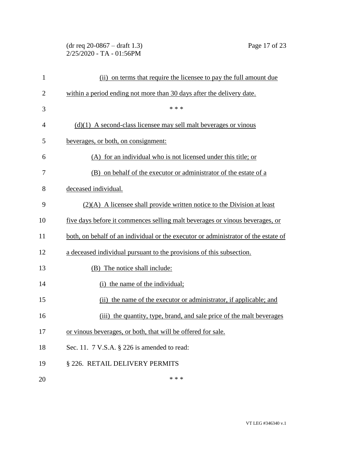### (dr req 20-0867 – draft 1.3) Page 17 of 23 2/25/2020 - TA - 01:56PM

| $\mathbf{1}$   | (ii) on terms that require the licensee to pay the full amount due                 |
|----------------|------------------------------------------------------------------------------------|
| $\overline{2}$ | within a period ending not more than 30 days after the delivery date.              |
| 3              | * * *                                                                              |
| 4              | $(d)(1)$ A second-class licensee may sell malt beverages or vinous                 |
| 5              | beverages, or both, on consignment:                                                |
| 6              | (A) for an individual who is not licensed under this title; or                     |
| 7              | (B) on behalf of the executor or administrator of the estate of a                  |
| 8              | deceased individual.                                                               |
| 9              | $(2)(A)$ A licensee shall provide written notice to the Division at least          |
| 10             | five days before it commences selling malt beverages or vinous beverages, or       |
| 11             | both, on behalf of an individual or the executor or administrator of the estate of |
| 12             | a deceased individual pursuant to the provisions of this subsection.               |
| 13             | The notice shall include:<br>(B)                                                   |
| 14             | (i) the name of the individual;                                                    |
| 15             | (ii) the name of the executor or administrator, if applicable; and                 |
| 16             | (iii) the quantity, type, brand, and sale price of the malt beverages              |
| 17             | or vinous beverages, or both, that will be offered for sale.                       |
| 18             | Sec. 11. $7 \text{ V.S.A. }$ § 226 is amended to read:                             |
| 19             | § 226. RETAIL DELIVERY PERMITS                                                     |
| 20             | * * *                                                                              |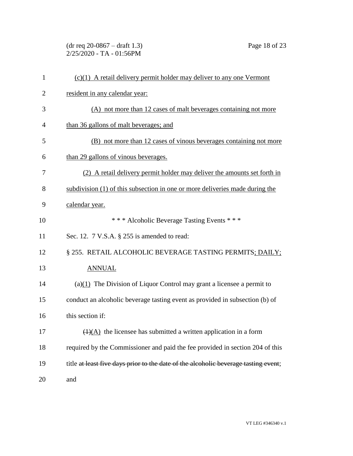(dr req 20-0867 – draft 1.3) Page 18 of 23 2/25/2020 - TA - 01:56PM

| $\mathbf{1}$   | $(c)(1)$ A retail delivery permit holder may deliver to any one Vermont             |
|----------------|-------------------------------------------------------------------------------------|
| $\overline{2}$ | resident in any calendar year:                                                      |
| 3              | (A) not more than 12 cases of malt beverages containing not more                    |
| 4              | than 36 gallons of malt beverages; and                                              |
| 5              | (B) not more than 12 cases of vinous beverages containing not more                  |
| 6              | than 29 gallons of vinous beverages.                                                |
| 7              | (2) A retail delivery permit holder may deliver the amounts set forth in            |
| 8              | subdivision (1) of this subsection in one or more deliveries made during the        |
| 9              | calendar year.                                                                      |
| 10             | *** Alcoholic Beverage Tasting Events ***                                           |
| 11             | Sec. 12. 7 V.S.A. § 255 is amended to read:                                         |
| 12             | § 255. RETAIL ALCOHOLIC BEVERAGE TASTING PERMITS; DAILY;                            |
| 13             | <b>ANNUAL</b>                                                                       |
| 14             | $(a)(1)$ The Division of Liquor Control may grant a licensee a permit to            |
| 15             | conduct an alcoholic beverage tasting event as provided in subsection (b) of        |
| 16             | this section if:                                                                    |
| 17             | $\overline{(1)(A)}$ the licensee has submitted a written application in a form      |
| 18             | required by the Commissioner and paid the fee provided in section 204 of this       |
| 19             | title at least five days prior to the date of the alcoholic beverage tasting event; |
| 20             | and                                                                                 |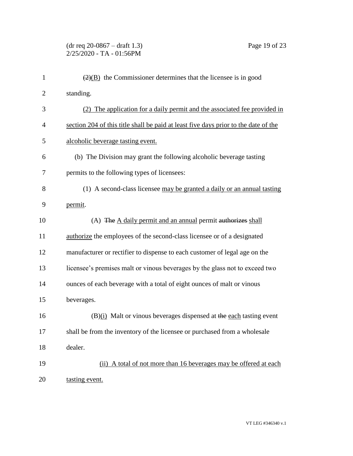### (dr req 20-0867 – draft 1.3) Page 19 of 23 2/25/2020 - TA - 01:56PM

| $\mathbf{1}$   | $\left(\frac{2}{2}\right)$ the Commissioner determines that the licensee is in good |
|----------------|-------------------------------------------------------------------------------------|
| $\overline{2}$ | standing.                                                                           |
| 3              | (2) The application for a daily permit and the associated fee provided in           |
| $\overline{4}$ | section 204 of this title shall be paid at least five days prior to the date of the |
| 5              | alcoholic beverage tasting event.                                                   |
| 6              | (b) The Division may grant the following alcoholic beverage tasting                 |
| 7              | permits to the following types of licensees:                                        |
| 8              | (1) A second-class licensee may be granted a daily or an annual tasting             |
| 9              | permit.                                                                             |
| 10             | (A) The A daily permit and an annual permit authorizes shall                        |
| 11             | authorize the employees of the second-class licensee or of a designated             |
| 12             | manufacturer or rectifier to dispense to each customer of legal age on the          |
| 13             | licensee's premises malt or vinous beverages by the glass not to exceed two         |
| 14             | ounces of each beverage with a total of eight ounces of malt or vinous              |
| 15             | beverages.                                                                          |
| 16             | $(B)(i)$ Malt or vinous beverages dispensed at the each tasting event               |
| 17             | shall be from the inventory of the licensee or purchased from a wholesale           |
| 18             | dealer.                                                                             |
| 19             | (ii) A total of not more than 16 beverages may be offered at each                   |
| 20             | tasting event.                                                                      |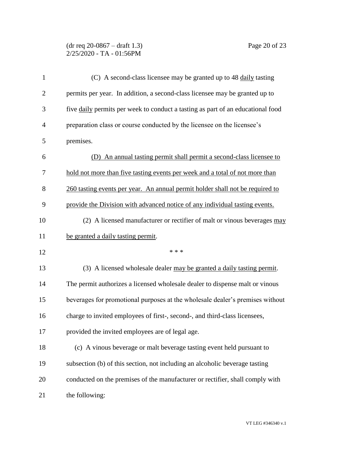## (dr req 20-0867 – draft 1.3) Page 20 of 23 2/25/2020 - TA - 01:56PM

| $\mathbf{1}$   | (C) A second-class licensee may be granted up to 48 daily tasting               |
|----------------|---------------------------------------------------------------------------------|
| $\overline{2}$ | permits per year. In addition, a second-class licensee may be granted up to     |
| 3              | five daily permits per week to conduct a tasting as part of an educational food |
| $\overline{4}$ | preparation class or course conducted by the licensee on the licensee's         |
| 5              | premises.                                                                       |
| 6              | (D) An annual tasting permit shall permit a second-class licensee to            |
| 7              | hold not more than five tasting events per week and a total of not more than    |
| 8              | 260 tasting events per year. An annual permit holder shall not be required to   |
| 9              | provide the Division with advanced notice of any individual tasting events.     |
| 10             | (2) A licensed manufacturer or rectifier of malt or vinous beverages may        |
| 11             | be granted a daily tasting permit.                                              |
| 12             | * * *                                                                           |
| 13             | (3) A licensed wholesale dealer may be granted a daily tasting permit.          |
| 14             | The permit authorizes a licensed wholesale dealer to dispense malt or vinous    |
| 15             | beverages for promotional purposes at the wholesale dealer's premises without   |
| 16             | charge to invited employees of first-, second-, and third-class licensees,      |
| 17             | provided the invited employees are of legal age.                                |
| 18             | (c) A vinous beverage or malt beverage tasting event held pursuant to           |
| 19             | subsection (b) of this section, not including an alcoholic beverage tasting     |
| 20             | conducted on the premises of the manufacturer or rectifier, shall comply with   |
| 21             | the following:                                                                  |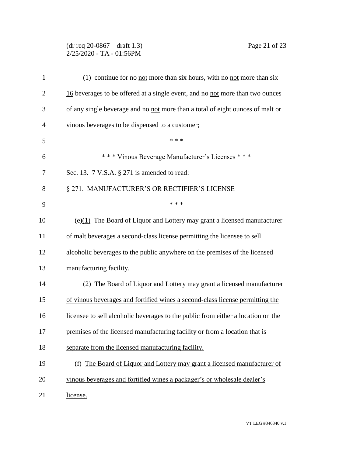### (dr req 20-0867 – draft 1.3) Page 21 of 23 2/25/2020 - TA - 01:56PM

| $\mathbf{1}$   | (1) continue for $\theta$ not more than six hours, with $\theta$ not more than $\frac{\dot{x}}{\dot{x}}$ |
|----------------|----------------------------------------------------------------------------------------------------------|
| $\overline{2}$ | $16$ beverages to be offered at a single event, and $\theta$ not more than two ounces                    |
| 3              | of any single beverage and no not more than a total of eight ounces of malt or                           |
| $\overline{4}$ | vinous beverages to be dispensed to a customer;                                                          |
| 5              | * * *                                                                                                    |
| 6              | *** Vinous Beverage Manufacturer's Licenses ***                                                          |
| 7              | Sec. 13. 7 V.S.A. § 271 is amended to read:                                                              |
| 8              | § 271. MANUFACTURER'S OR RECTIFIER'S LICENSE                                                             |
| 9              | * * *                                                                                                    |
| 10             | $(e)(1)$ The Board of Liquor and Lottery may grant a licensed manufacturer                               |
| 11             | of malt beverages a second-class license permitting the licensee to sell                                 |
| 12             | alcoholic beverages to the public anywhere on the premises of the licensed                               |
| 13             | manufacturing facility.                                                                                  |
| 14             | (2) The Board of Liquor and Lottery may grant a licensed manufacturer                                    |
| 15             | of vinous beverages and fortified wines a second-class license permitting the                            |
| 16             | licensee to sell alcoholic beverages to the public from either a location on the                         |
| 17             | premises of the licensed manufacturing facility or from a location that is                               |
| 18             | separate from the licensed manufacturing facility.                                                       |
| 19             | (f) The Board of Liquor and Lottery may grant a licensed manufacturer of                                 |
| 20             | vinous beverages and fortified wines a packager's or wholesale dealer's                                  |
| 21             | license.                                                                                                 |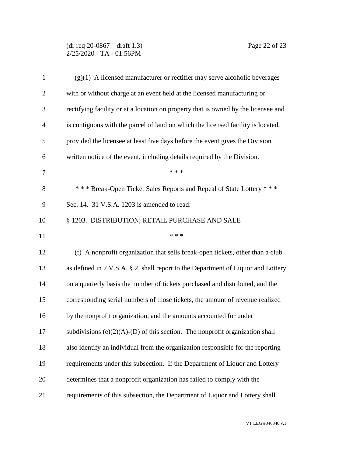#### (dr req 20-0867 – draft 1.3) Page 22 of 23 2/25/2020 - TA - 01:56PM

| $\mathbf{1}$   | $(g)(1)$ A licensed manufacturer or rectifier may serve alcoholic beverages                 |
|----------------|---------------------------------------------------------------------------------------------|
| $\overline{c}$ | with or without charge at an event held at the licensed manufacturing or                    |
| 3              | rectifying facility or at a location on property that is owned by the licensee and          |
| $\overline{4}$ | is contiguous with the parcel of land on which the licensed facility is located,            |
| 5              | provided the licensee at least five days before the event gives the Division                |
| 6              | written notice of the event, including details required by the Division.                    |
| 7              | * * *                                                                                       |
| 8              | *** Break-Open Ticket Sales Reports and Repeal of State Lottery ***                         |
| 9              | Sec. 14. 31 V.S.A. 1203 is amended to read:                                                 |
| 10             | § 1203. DISTRIBUTION; RETAIL PURCHASE AND SALE                                              |
| 11             | * * *                                                                                       |
| 12             | (f) A nonprofit organization that sells break-open tickets, other than a club               |
| 13             | as defined in $7 \text{ V.S.A. } $2$ , shall report to the Department of Liquor and Lottery |
| 14             | on a quarterly basis the number of tickets purchased and distributed, and the               |
| 15             | corresponding serial numbers of those tickets, the amount of revenue realized               |
| 16             | by the nonprofit organization, and the amounts accounted for under                          |
| 17             | subdivisions $(e)(2)(A)$ - $(D)$ of this section. The nonprofit organization shall          |
| 18             | also identify an individual from the organization responsible for the reporting             |
| 19             | requirements under this subsection. If the Department of Liquor and Lottery                 |
| 20             | determines that a nonprofit organization has failed to comply with the                      |
| 21             | requirements of this subsection, the Department of Liquor and Lottery shall                 |